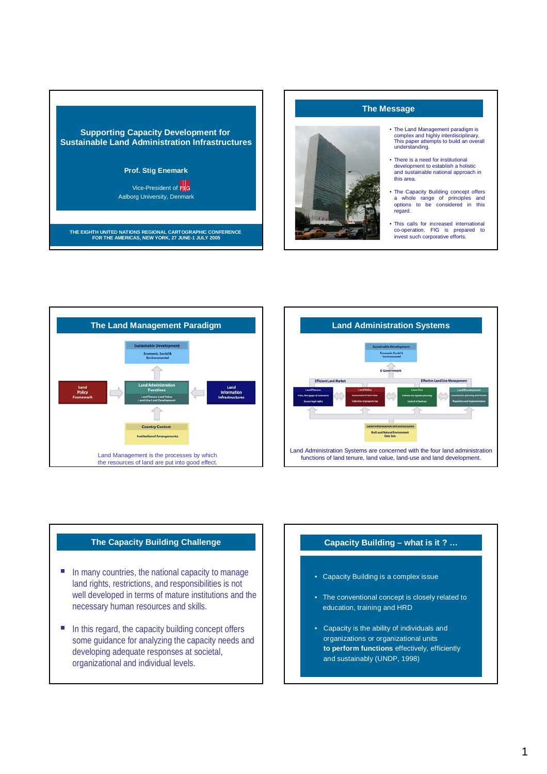

## **The Message**



- The Land Management paradigm is complex and highly interdisciplinary. This paper attempts to build an overall understanding.
- There is a need for institutional development to establish a holistic and sustainable national approach in this area.
- The Capacity Building concept offers a whole range of principles and options to be considered in this regard.
- This calls for increased international co-operation. FIG is prepared to invest such corporative efforts.





## **The Capacity Building Challenge**

- In many countries, the national capacity to manage<br>land rights, restrictions, and responsibilities is not<br>well developed in terms of mature institutions and the well developed in terms of mature institutions and the necessary human resources and skills.
- In this regard, the capacity building concept offers<br>some guidance for analyzing the capacity needs a<br>developing adequate responses at societal some guidance for analyzing the capacity needs and developing adequate responses at societal, organizational and individual levels.

## **Capacity Building – what is it ? …**

- Capacity Building is a complex issue
- The conventional concept is closely related to education, training and HRD
- Capacity is the ability of individuals and organizations or organizational units **to perform functions** effectively, efficiently and sustainably (UNDP, 1998)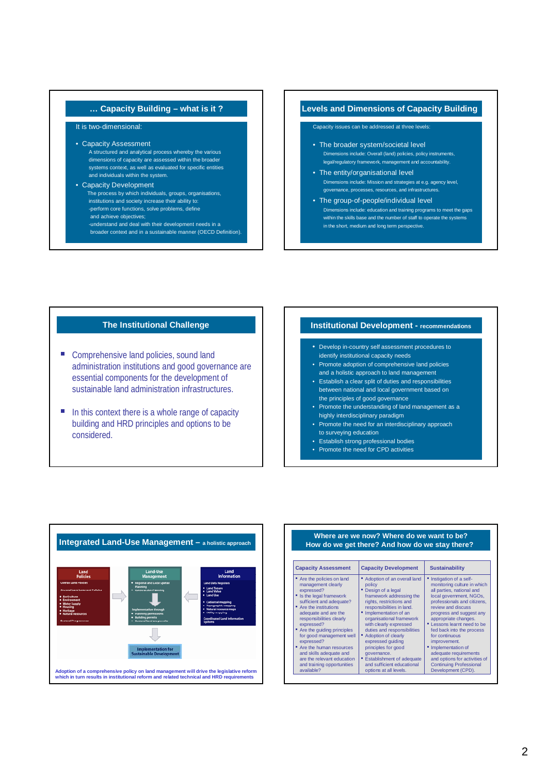## **… Capacity Building – what is it ?**

### It is two-dimensional:

#### • Capacity Assessment

- A structured and analytical process whereby the various dimensions of capacity are assessed within the broader systems context, as well as evaluated for specific entities and individuals within the system.
- Capacity Development The process by which individuals, groups, organisations, institutions and society increase their ability to: -perform core functions, solve problems, define and achieve objectives;
	- -understand and deal with their development needs in a broader context and in a sustainable manner (OECD Definition).

### **Levels and Dimensions of Capacity Building**

### Capacity issues can be addressed at three levels:

- The broader system/societal level Dimensions include: Overall (land) policies, policy instruments, legal/regulatory framework, management and accountability.
- The entity/organisational level Dimensions include: Mission and strategies at e.g. agency level, governance, processes, resources, and infrastructures.
- The group-of-people/individual level Dimensions include: education and training programs to meet the gaps within the skills base and the number of staff to operate the systems in the short, medium and long term perspective.

#### **The Institutional Challenge**

- Comprehensive land policies, sound land<br>
administration institutions and good governance are<br>
essential components for the development of essential components for the development of sustainable land administration infrastructures.
- $\blacksquare$  In this context there is a whole range of capacity building and HRD principles and options to be considered.

#### **Institutional Development - recommendations**

- Develop in-country self assessment procedures to identify institutional capacity needs
- Promote adoption of comprehensive land policies and a holistic approach to land management
- Establish a clear split of duties and responsibilities between national and local government based on the principles of good governance
- Promote the understanding of land management as a highly interdisciplinary paradigm
- Promote the need for an interdisciplinary approach to surveying education
- Establish strong professional bodies
- Promote the need for CPD activities



#### **Where are we now? Where do we want to be? How do we get there? And how do we stay there?**

| <b>Capacity Assessment</b>                                                                                                                                                                                                                                                                                                                                                                                                     | <b>Capacity Development</b>                                                                                                                                                                                                                                                                                                                                                                                                                    | <b>Sustainability</b>                                                                                                                                                                                                                                                                                                                                                                                                                                         |
|--------------------------------------------------------------------------------------------------------------------------------------------------------------------------------------------------------------------------------------------------------------------------------------------------------------------------------------------------------------------------------------------------------------------------------|------------------------------------------------------------------------------------------------------------------------------------------------------------------------------------------------------------------------------------------------------------------------------------------------------------------------------------------------------------------------------------------------------------------------------------------------|---------------------------------------------------------------------------------------------------------------------------------------------------------------------------------------------------------------------------------------------------------------------------------------------------------------------------------------------------------------------------------------------------------------------------------------------------------------|
| " Are the policies on land<br>management clearly<br>expressed?<br>" Is the legal framework<br>sufficient and adequate?<br>" Are the institutions<br>adequate and are the<br>responsibilities clearly<br>expressed?<br>" Are the quiding principles<br>for good management well<br>expressed?<br>" Are the human resources<br>and skills adequate and<br>are the relevant education<br>and training opportunities<br>available? | Adoption of an overall land<br>policy<br>" Design of a legal<br>framework addressing the<br>rights, restrictions and<br>responsibilities in land.<br>" Implementation of an<br>organisational framework<br>with clearly expressed<br>duties and responsibilities<br>Adoption of clearly<br>٠<br>expressed quiding<br>principles for good<br>governance.<br>■ Establishment of adequate<br>and sufficient educational<br>options at all levels. | Instigation of a self-<br>monitoring culture in which<br>all parties, national and<br>local government, NGOs,<br>professionals and citizens,<br>review and discuss<br>progress and suggest any<br>appropriate changes.<br>" Lessons learnt need to be<br>fed back into the process<br>for continuous<br>improvement.<br>" Implementation of<br>adequate requirements<br>and options for activities of<br><b>Continuing Professional</b><br>Development (CPD). |